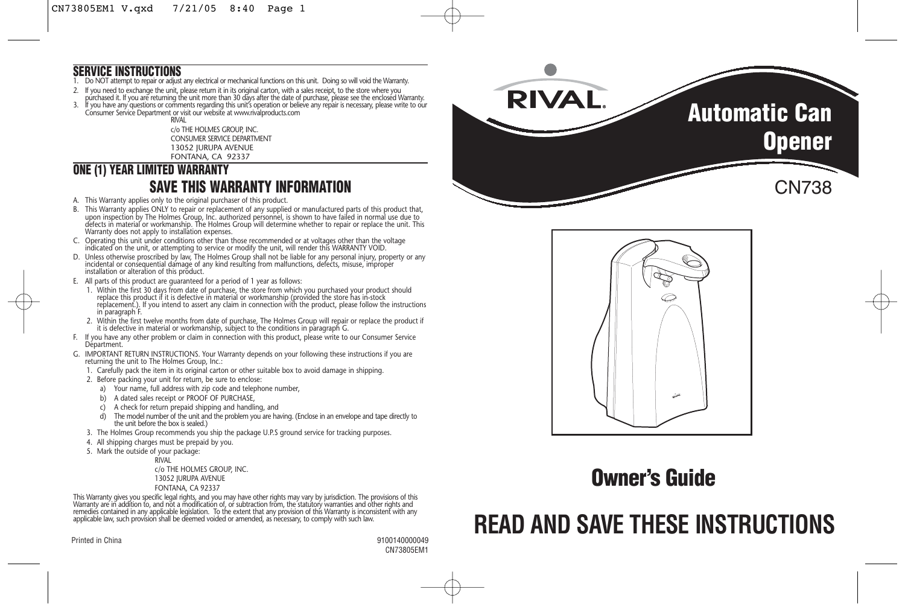#### **SERVICE INSTRUCTIONS**

- 1. Do NOT attempt to repair or adjust any electrical or mechanical functions on this unit. Doing so will void the Warranty.
- 2. It you need to exchange the unit, please return it in its original carton, with a sales receipt, to the store where you<br>purchased it. If you are returning the unit more than 30 days after the date of purchase, please se
- 3. If you have any questions or comments regarding this unit's operation or believe any repair is necessary, please write to our Consumer Service Department or visit our website at www.rivalproducts.com

RIVAL c/o THE HOLMES GROUP, INC. CONSUMER SERVICE DEPARTMENT 13052 JURUPA AVENUE FONTANA, CA 92337

## **ONE (1) YEAR LIMITED WARRANTY**

#### **SAVE THIS WARRANTY INFORMATION**

- A. This Warranty applies only to the original purchaser of this product.
- B. This Warranty applies ONLY to repair or replacement of any supplied or manufactured parts of this product that, upon inspection by The Holmes Group, Inc. authorized personnel, is shown to have failed in normal use due to defects in material or workmanship. The Holmes Group will determine whether to repair or replace the unit. This Warranty does not apply to installation expenses.
- C. Operating this unit under conditions other than those recommended or at voltages other than the voltage indicated on the unit, or attempting to service or modify the unit, will render this WARRANTY VOID.
- D. Unless otherwise proscribed by law, The Holmes Group shall not be liable for any personal injury, property or any incidental or consequential damage of any kind resulting from malfunctions, defects, misuse, improper installation or alteration of this product.
- E. All parts of this product are guaranteed for a period of 1 year as follows:
- 1. Within the first 30 days from date of purchase, the store from which you purchased your product should replace this product if it is defective in material or workmanship (provided the store has in-stock replacement.). If you intend to assert any claim in connection with the product, please follow the instructions in paragraph F.
- 2. Within the first twelve months from date of purchase, The Holmes Group will repair or replace the product if it is defective in material or workmanship, subject to the conditions in paragraph G.
- F. If you have any other problem or claim in connection with this product, please write to our Consumer Service Départment.
- G. IMPORTANT RETURN INSTRUCTIONS. Your Warranty depends on your following these instructions if you are returning the unit to The Holmes Group, Inc.:
	- 1. Carefully pack the item in its original carton or other suitable box to avoid damage in shipping.
	- 2. Before packing your unit for return, be sure to enclose:
	- a) Your name, full address with zip code and telephone number,
	- b) A dated sales receipt or PROOF OF PURCHASE,
	- c) A check for return prepaid shipping and handling, and
	- d) The model number of the unit and the problem you are having. (Enclose in an envelope and tape directly to the unit before the box is sealed.)
	- 3. The Holmes Group recommends you ship the package U.P.S ground service for tracking purposes.
	- 4. All shipping charges must be prepaid by you.
	- 5. Mark the outside of your package:

RIVAL

c/o THE HOLMES GROUP, INC. 13052 JURUPA AVENUE FONTANA, CA 92337

This Warranty gives you specific legal rights, and you may have other rights may vary by jurisdiction. The provisions of this Warranty are in addition to, and not a modification of, or subtraction from, the statutory warranties and other rights and remedies contained in any applicable legislation. To the extent that any provision of this Warranty is inconsistent with any applicable law, such provision shall be deemed voided or amended, as necessary, to comply with such law.

Printed in China 9100140000049

CN73805EM1





## **Owner's Guide**

# **READ AND SAVE THESE INSTRUCTIONS**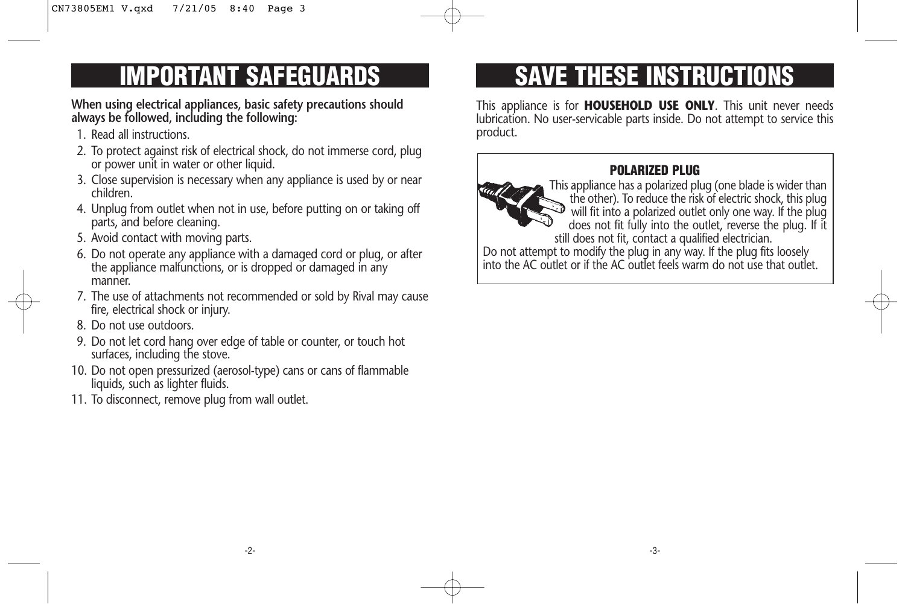# **IMPORTANT SAFEGUARDS**

**When using electrical appliances, basic safety precautions should always be followed, including the following:**

- 1. Read all instructions.
- 2. To protect against risk of electrical shock, do not immerse cord, plug or power unit in water or other liquid.
- 3. Close supervision is necessary when any appliance is used by or near children.
- 4. Unplug from outlet when not in use, before putting on or taking off parts, and before cleaning.
- 5. Avoid contact with moving parts.
- 6. Do not operate any appliance with a damaged cord or plug, or after the appliance malfunctions, or is dropped or damaged in any manner.
- 7. The use of attachments not recommended or sold by Rival may cause fire, electrical shock or injury.
- 8. Do not use outdoors.
- 9. Do not let cord hang over edge of table or counter, or touch hot surfaces, including the stove.
- 10. Do not open pressurized (aerosol-type) cans or cans of flammable liquids, such as lighter fluids.
- 11. To disconnect, remove plug from wall outlet.

# **SAVE THESE INSTRUCTIONS**

This appliance is for **HOUSEHOLD USE ONLY**. This unit never needs lubrication. No user-servicable parts inside. Do not attempt to service this product.

#### **POLARIZED PLUG**



This appliance has a polarized plug (one blade is wider than the other). To reduce the risk of electric shock, this plug will fit into a polarized outlet only one way. If the plug does not fit fully into the outlet, reverse the plug. If it still does not fit, contact a qualified electrician.

Do not attempt to modify the plug in any way. If the plug fits loosely into the AC outlet or if the AC outlet feels warm do not use that outlet.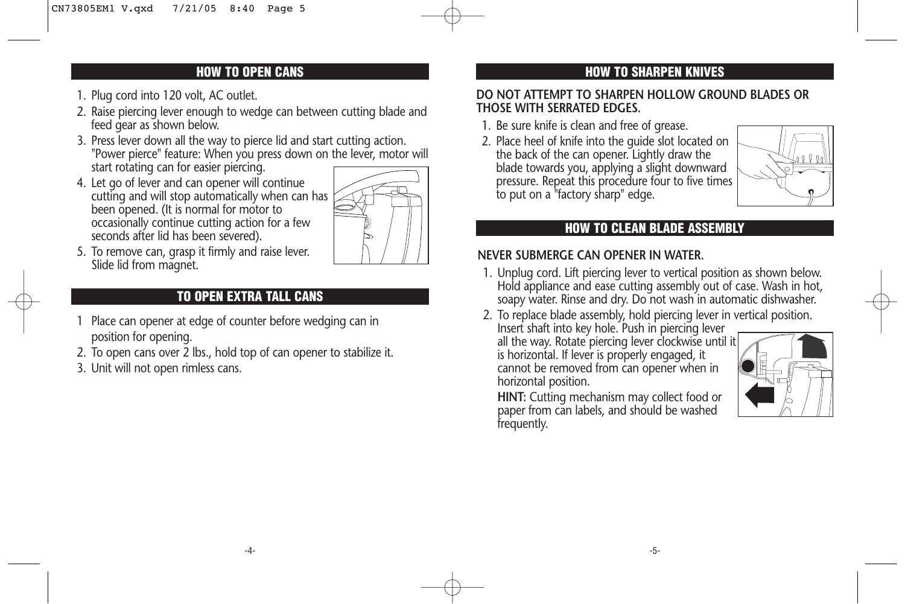#### **HOW TO OPEN CANS**

- 1. Plug cord into 120 volt, AC outlet.
- 2. Raise piercing lever enough to wedge can between cutting blade and feed gear as shown below.
- 3. Press lever down all the way to pierce lid and start cutting action. "Power pierce" feature: When you press down on the lever, motor will start rotating can for easier piercing.
- 4. Let go of lever and can opener will continue cutting and will stop automatically when can has been opened. (It is normal for motor to occasionally continue cutting action for a few seconds after lid has been severed).



5. To remove can, grasp it firmly and raise lever. Slide lid from magnet.

### **TO OPEN EXTRA TALL CANS**

- 1 Place can opener at edge of counter before wedging can in position for opening.
- 2. To open cans over 2 lbs., hold top of can opener to stabilize it.
- 3. Unit will not open rimless cans.

### **HOW TO SHARPEN KNIVES**

#### **DO NOT ATTEMPT TO SHARPEN HOLLOW GROUND BLADES OR THOSE WITH SERRATED EDGES.**

- 1. Be sure knife is clean and free of grease.
- 2. Place heel of knife into the guide slot located on the back of the can opener. Lightly draw the blade towards you, applying a slight downward pressure. Repeat this procedure four to five times to put on a "factory sharp" edge.



#### **HOW TO CLEAN BLADE ASSEMBLY**

#### **NEVER SUBMERGE CAN OPENER IN WATER.**

- 1. Unplug cord. Lift piercing lever to vertical position as shown below. Hold appliance and ease cutting assembly out of case. Wash in hot, soapy water. Rinse and dry. Do not wash in automatic dishwasher.
- 2. To replace blade assembly, hold piercing lever in vertical position. Insert shaft into key hole. Push in piercing lever

all the way. Rotate piercing lever clockwise until it is horizontal. If lever is properly engaged, it cannot be removed from can opener when in horizontal position.



**HINT:** Cutting mechanism may collect food or paper from can labels, and should be washed frequently.